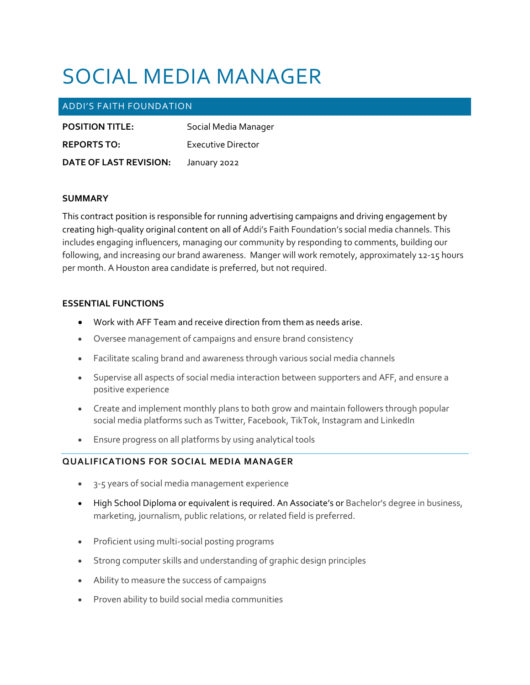# SOCIAL MEDIA MANAGER

# ADDI'S FAITH FOUNDATION

| <b>POSITION TITLE:</b> | Social Media Manager |
|------------------------|----------------------|
| <b>REPORTS TO:</b>     | Executive Director   |
| DATE OF LAST REVISION: | January 2022         |

#### **SUMMARY**

This contract position is responsible for running advertising campaigns and driving engagement by creating high-quality original content on all of Addi's Faith Foundation's social media channels. This includes engaging influencers, managing our community by responding to comments, building our following, and increasing our brand awareness. Manger will work remotely, approximately 12-15 hours per month. A Houston area candidate is preferred, but not required.

### **ESSENTIAL FUNCTIONS**

- Work with AFF Team and receive direction from them as needs arise.
- Oversee management of campaigns and ensure brand consistency
- Facilitate scaling brand and awareness through various social media channels
- Supervise all aspects of social media interaction between supporters and AFF, and ensure a positive experience
- Create and implement monthly plans to both grow and maintain followers through popular social media platforms such as Twitter, Facebook, TikTok, Instagram and LinkedIn
- Ensure progress on all platforms by using analytical tools

## **QUALIFICATIONS FOR SOCIAL MEDIA MANAGER**

- 3-5 years of social media management experience
- High School Diploma or equivalent is required. An Associate's or Bachelor's degree in business, marketing, journalism, public relations, or related field is preferred.
- Proficient using multi-social posting programs
- Strong computer skills and understanding of graphic design principles
- Ability to measure the success of campaigns
- Proven ability to build social media communities